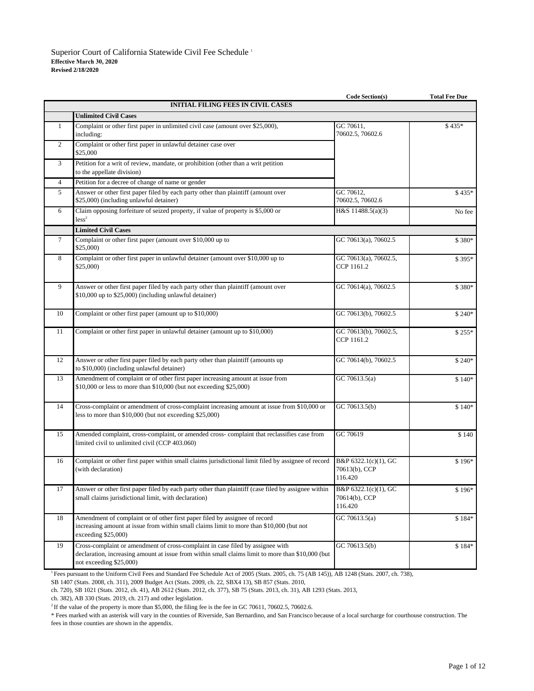|                 |                                                                                                                                                                                                                | <b>Code Section(s)</b>                           | <b>Total Fee Due</b> |  |  |
|-----------------|----------------------------------------------------------------------------------------------------------------------------------------------------------------------------------------------------------------|--------------------------------------------------|----------------------|--|--|
|                 | <b>INITIAL FILING FEES IN CIVIL CASES</b>                                                                                                                                                                      |                                                  |                      |  |  |
|                 | <b>Unlimited Civil Cases</b>                                                                                                                                                                                   |                                                  |                      |  |  |
| $\mathbf{1}$    | Complaint or other first paper in unlimited civil case (amount over \$25,000),<br>including:                                                                                                                   | GC 70611,<br>70602.5, 70602.6                    | $$435*$              |  |  |
| 2               | Complaint or other first paper in unlawful detainer case over<br>\$25,000                                                                                                                                      |                                                  |                      |  |  |
| $\mathfrak{Z}$  | Petition for a writ of review, mandate, or prohibition (other than a writ petition<br>to the appellate division)                                                                                               |                                                  |                      |  |  |
| $\overline{4}$  | Petition for a decree of change of name or gender                                                                                                                                                              |                                                  |                      |  |  |
| 5               | Answer or other first paper filed by each party other than plaintiff (amount over<br>\$25,000) (including unlawful detainer)                                                                                   | GC 70612,<br>70602.5, 70602.6                    | $$435*$              |  |  |
| 6               | Claim opposing forfeiture of seized property, if value of property is \$5,000 or<br>less <sup>2</sup>                                                                                                          | H&S 11488.5(a)(3)                                | No fee               |  |  |
|                 | <b>Limited Civil Cases</b>                                                                                                                                                                                     |                                                  |                      |  |  |
| $7\overline{ }$ | Complaint or other first paper (amount over \$10,000 up to<br>\$25,000                                                                                                                                         | GC 70613(a), 70602.5                             | \$380*               |  |  |
| 8               | Complaint or other first paper in unlawful detainer (amount over \$10,000 up to<br>\$25,000                                                                                                                    | GC 70613(a), 70602.5,<br>CCP 1161.2              | \$395*               |  |  |
| 9               | Answer or other first paper filed by each party other than plaintiff (amount over<br>\$10,000 up to \$25,000) (including unlawful detainer)                                                                    | GC 70614(a), 70602.5                             | \$380*               |  |  |
| 10              | Complaint or other first paper (amount up to \$10,000)                                                                                                                                                         | GC 70613(b), 70602.5                             | $$240*$              |  |  |
| 11              | Complaint or other first paper in unlawful detainer (amount up to \$10,000)                                                                                                                                    | GC 70613(b), 70602.5,<br>CCP 1161.2              | $$255*$              |  |  |
| 12              | Answer or other first paper filed by each party other than plaintiff (amounts up<br>to \$10,000) (including unlawful detainer)                                                                                 | GC 70614(b), 70602.5                             | $$240*$              |  |  |
| 13              | Amendment of complaint or of other first paper increasing amount at issue from<br>\$10,000 or less to more than \$10,000 (but not exceeding \$25,000)                                                          | GC 70613.5(a)                                    | $$140*$              |  |  |
| 14              | Cross-complaint or amendment of cross-complaint increasing amount at issue from \$10,000 or<br>less to more than \$10,000 (but not exceeding \$25,000)                                                         | GC 70613.5(b)                                    | $$140*$              |  |  |
| 15              | Amended complaint, cross-complaint, or amended cross-complaint that reclassifies case from<br>limited civil to unlimited civil (CCP 403.060)                                                                   | GC 70619                                         | \$140                |  |  |
| 16              | Complaint or other first paper within small claims jurisdictional limit filed by assignee of record<br>(with declaration)                                                                                      | B&P 6322.1(c)(1), GC<br>70613(b), CCP<br>116.420 | $$196*$              |  |  |
| 17              | Answer or other first paper filed by each party other than plaintiff (case filed by assignee within<br>small claims jurisdictional limit, with declaration)                                                    | B&P 6322.1(c)(1), GC<br>70614(b), CCP<br>116.420 | \$196*               |  |  |
| 18              | Amendment of complaint or of other first paper filed by assignee of record<br>increasing amount at issue from within small claims limit to more than \$10,000 (but not<br>exceeding \$25,000)                  | GC 70613.5(a)                                    | $$184*$              |  |  |
| 19              | Cross-complaint or amendment of cross-complaint in case filed by assignee with<br>declaration, increasing amount at issue from within small claims limit to more than \$10,000 (but<br>not exceeding \$25,000) | GC 70613.5(b)                                    | $$184*$              |  |  |

<sup>1</sup> Fees pursuant to the Uniform Civil Fees and Standard Fee Schedule Act of 2005 (Stats. 2005, ch. 75 (AB 145)), AB 1248 (Stats. 2007, ch. 738),

SB 1407 (Stats. 2008, ch. 311), 2009 Budget Act (Stats. 2009, ch. 22, SBX4 13), SB 857 (Stats. 2010,

ch. 720), SB 1021 (Stats. 2012, ch. 41), AB 2612 (Stats. 2012, ch. 377), SB 75 (Stats. 2013, ch. 31), AB 1293 (Stats. 2013,

ch. 382), AB 330 (Stats. 2019, ch. 217) and other legislation.

<sup>2</sup> If the value of the property is more than \$5,000, the filing fee is the fee in GC 70611, 70602.5, 70602.6.

\* Fees marked with an asterisk will vary in the counties of Riverside, San Bernardino, and San Francisco because of a local surcharge for courthouse construction. The fees in those counties are shown in the appendix.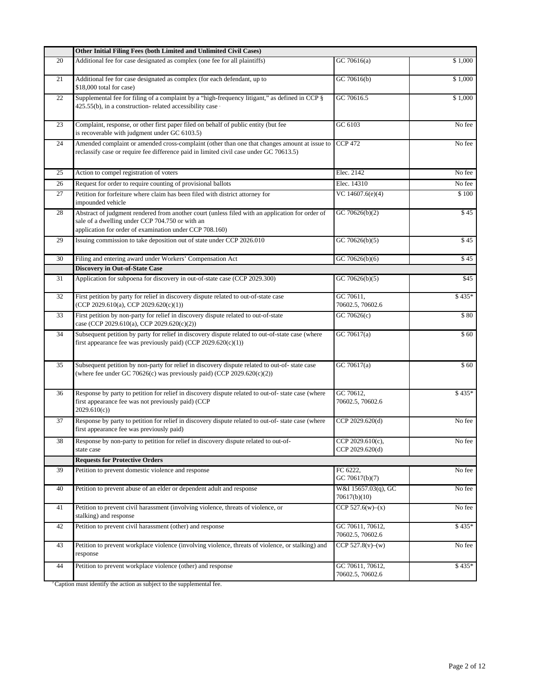|    | Other Initial Filing Fees (both Limited and Unlimited Civil Cases)                                                                                                                                            |                                      |             |  |
|----|---------------------------------------------------------------------------------------------------------------------------------------------------------------------------------------------------------------|--------------------------------------|-------------|--|
| 20 | Additional fee for case designated as complex (one fee for all plaintiffs)                                                                                                                                    | GC 70616(a)                          | \$1,000     |  |
| 21 | Additional fee for case designated as complex (for each defendant, up to<br>\$18,000 total for case)                                                                                                          | GC 70616(b)                          | \$1,000     |  |
| 22 | Supplemental fee for filing of a complaint by a "high-frequency litigant," as defined in CCP §<br>425.55(b), in a construction-related accessibility case                                                     | GC 70616.5                           | \$1,000     |  |
| 23 | Complaint, response, or other first paper filed on behalf of public entity (but fee<br>is recoverable with judgment under GC 6103.5)                                                                          | GC 6103                              | No fee      |  |
| 24 | Amended complaint or amended cross-complaint (other than one that changes amount at issue to<br>reclassify case or require fee difference paid in limited civil case under GC 70613.5)                        | <b>CCP 472</b>                       | No fee      |  |
| 25 | Action to compel registration of voters                                                                                                                                                                       | Elec. 2142                           | No fee      |  |
| 26 | Request for order to require counting of provisional ballots                                                                                                                                                  | Elec. 14310                          | No fee      |  |
| 27 | Petition for forfeiture where claim has been filed with district attorney for<br>impounded vehicle                                                                                                            | VC 14607.6(e)(4)                     | \$100       |  |
| 28 | Abstract of judgment rendered from another court (unless filed with an application for order of<br>sale of a dwelling under CCP 704.750 or with an<br>application for order of examination under CCP 708.160) | GC 70626(b)(2)                       | \$45        |  |
| 29 | Issuing commission to take deposition out of state under CCP 2026.010                                                                                                                                         | GC 70626(b)(5)                       | \$45        |  |
| 30 | Filing and entering award under Workers' Compensation Act                                                                                                                                                     | GC 70626(b)(6)                       | \$45        |  |
|    | <b>Discovery in Out-of-State Case</b>                                                                                                                                                                         |                                      |             |  |
| 31 | Application for subpoena for discovery in out-of-state case (CCP 2029.300)                                                                                                                                    | GC $70626(b)(5)$                     | \$45        |  |
| 32 | First petition by party for relief in discovery dispute related to out-of-state case<br>(CCP 2029.610(a), CCP 2029.620(c)(1))                                                                                 | GC 70611,<br>70602.5, 70602.6        | $$435*$     |  |
| 33 | First petition by non-party for relief in discovery dispute related to out-of-state<br>case (CCP 2029.610(a), CCP 2029.620(c)(2))                                                                             | GC 70626 $(c)$                       | \$80        |  |
| 34 | Subsequent petition by party for relief in discovery dispute related to out-of-state case (where<br>first appearance fee was previously paid) (CCP $2029.620(c)(1)$ )                                         | GC 70617(a)                          | $\sqrt{60}$ |  |
| 35 | Subsequent petition by non-party for relief in discovery dispute related to out-of-state case<br>(where fee under GC 70626(c) was previously paid) (CCP 2029.620(c)(2))                                       | GC 70617(a)                          | \$60        |  |
| 36 | Response by party to petition for relief in discovery dispute related to out-of- state case (where<br>first appearance fee was not previously paid) (CCP<br>2029.610(c)                                       | GC 70612,<br>70602.5, 70602.6        | $$435*$     |  |
| 37 | Response by party to petition for relief in discovery dispute related to out-of- state case (where<br>first appearance fee was previously paid)                                                               | CCP 2029.620(d)                      | No fee      |  |
| 38 | Response by non-party to petition for relief in discovery dispute related to out-of-<br>state case                                                                                                            | CCP 2029.610(c),<br>CCP 2029.620(d)  | No fee      |  |
|    | <b>Requests for Protective Orders</b>                                                                                                                                                                         |                                      |             |  |
| 39 | Petition to prevent domestic violence and response                                                                                                                                                            | FC 6222,<br>GC 70617(b)(7)           | No fee      |  |
| 40 | Petition to prevent abuse of an elder or dependent adult and response                                                                                                                                         | W&I 15657.03(q), GC<br>70617(b)(10)  | No fee      |  |
| 41 | Petition to prevent civil harassment (involving violence, threats of violence, or<br>stalking) and response                                                                                                   | CCP $527.6(w)–(x)$                   | No fee      |  |
| 42 | Petition to prevent civil harassment (other) and response                                                                                                                                                     | GC 70611, 70612,<br>70602.5, 70602.6 | $$435*$     |  |
| 43 | Petition to prevent workplace violence (involving violence, threats of violence, or stalking) and<br>response                                                                                                 | CCP $527.8(v)–(w)$                   | No fee      |  |
| 44 | Petition to prevent workplace violence (other) and response                                                                                                                                                   | GC 70611, 70612,<br>70602.5, 70602.6 | $$435*$     |  |

<sup>3</sup> Caption must identify the action as subject to the supplemental fee.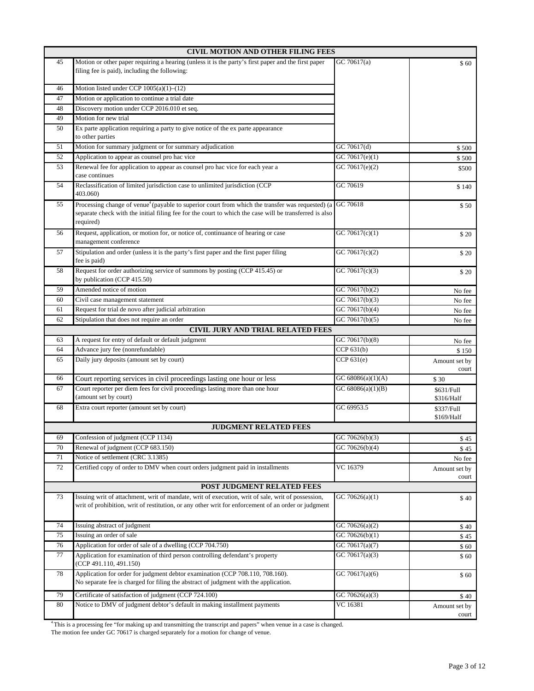|    | <b>CIVIL MOTION AND OTHER FILING FEES</b>                                                                                                                                                                                           |                             |                          |  |  |
|----|-------------------------------------------------------------------------------------------------------------------------------------------------------------------------------------------------------------------------------------|-----------------------------|--------------------------|--|--|
| 45 | Motion or other paper requiring a hearing (unless it is the party's first paper and the first paper<br>filing fee is paid), including the following:                                                                                | \$60                        |                          |  |  |
| 46 | Motion listed under CCP 1005(a)(1)-(12)                                                                                                                                                                                             |                             |                          |  |  |
| 47 | Motion or application to continue a trial date                                                                                                                                                                                      |                             |                          |  |  |
| 48 | Discovery motion under CCP 2016.010 et seq.                                                                                                                                                                                         |                             |                          |  |  |
| 49 | Motion for new trial                                                                                                                                                                                                                |                             |                          |  |  |
| 50 | Ex parte application requiring a party to give notice of the ex parte appearance<br>to other parties                                                                                                                                |                             |                          |  |  |
| 51 | Motion for summary judgment or for summary adjudication                                                                                                                                                                             | GC 70617(d)                 | \$500                    |  |  |
| 52 | Application to appear as counsel pro hac vice                                                                                                                                                                                       | $\overline{GC 706}17(e)(1)$ | \$500                    |  |  |
| 53 | Renewal fee for application to appear as counsel pro hac vice for each year a<br>case continues                                                                                                                                     | GC 70617(e)(2)              | \$500                    |  |  |
| 54 | Reclassification of limited jurisdiction case to unlimited jurisdiction (CCP<br>403.060)                                                                                                                                            | GC 70619                    | \$140                    |  |  |
| 55 | Processing change of venue <sup>4</sup> (payable to superior court from which the transfer was requested) (a<br>separate check with the initial filing fee for the court to which the case will be transferred is also<br>required) | GC 70618                    | \$50                     |  |  |
| 56 | Request, application, or motion for, or notice of, continuance of hearing or case<br>management conference                                                                                                                          | GC 70617(c)(1)              | \$20                     |  |  |
| 57 | Stipulation and order (unless it is the party's first paper and the first paper filing<br>fee is paid)                                                                                                                              | GC 70617(c)(2)              | \$20                     |  |  |
| 58 | Request for order authorizing service of summons by posting (CCP 415.45) or<br>by publication (CCP 415.50)                                                                                                                          | GC 70617(c)(3)              | \$20                     |  |  |
| 59 | Amended notice of motion                                                                                                                                                                                                            | GC 70617(b)(2)              | No fee                   |  |  |
| 60 | Civil case management statement                                                                                                                                                                                                     | GC 70617(b)(3)              | No fee                   |  |  |
| 61 | Request for trial de novo after judicial arbitration                                                                                                                                                                                | GC 70617(b)(4)              | No fee                   |  |  |
| 62 | Stipulation that does not require an order                                                                                                                                                                                          | GC 70617(b)(5)              | No fee                   |  |  |
|    | <b>CIVIL JURY AND TRIAL RELATED FEES</b>                                                                                                                                                                                            |                             |                          |  |  |
| 63 | A request for entry of default or default judgment                                                                                                                                                                                  | GC 70617(b)(8)              | No fee                   |  |  |
| 64 | Advance jury fee (nonrefundable)                                                                                                                                                                                                    | CCP $631(b)$                | \$150                    |  |  |
| 65 | Daily jury deposits (amount set by court)                                                                                                                                                                                           | CCP 631(e)                  | Amount set by<br>court   |  |  |
| 66 | Court reporting services in civil proceedings lasting one hour or less                                                                                                                                                              | GC 68086(a)(1)(A)           | \$30                     |  |  |
| 67 | Court reporter per diem fees for civil proceedings lasting more than one hour<br>(amount set by court)                                                                                                                              | GC $68086(a)(1)(B)$         | \$631/Full<br>\$316/Half |  |  |
| 68 | Extra court reporter (amount set by court)                                                                                                                                                                                          | GC 69953.5                  | \$337/Full<br>\$169/Half |  |  |
|    | <b>JUDGMENT RELATED FEES</b>                                                                                                                                                                                                        |                             |                          |  |  |
| 69 | Confession of judgment (CCP 1134)                                                                                                                                                                                                   | GC 70626(b)(3)              | \$45                     |  |  |
| 70 | Renewal of judgment (CCP 683.150)                                                                                                                                                                                                   | GC 70626(b)(4)              | \$45                     |  |  |
| 71 | Notice of settlement (CRC 3.1385)                                                                                                                                                                                                   |                             | No fee                   |  |  |
| 72 | Certified copy of order to DMV when court orders judgment paid in installments                                                                                                                                                      | VC 16379                    | Amount set by<br>court   |  |  |
|    | <b>POST JUDGMENT RELATED FEES</b>                                                                                                                                                                                                   |                             |                          |  |  |
| 73 | Issuing writ of attachment, writ of mandate, writ of execution, writ of sale, writ of possession,<br>writ of prohibition, writ of restitution, or any other writ for enforcement of an order or judgment                            | GC 70626(a)(1)              | \$40                     |  |  |
| 74 | Issuing abstract of judgment                                                                                                                                                                                                        | GC 70626(a)(2)              | \$40                     |  |  |
| 75 | Issuing an order of sale                                                                                                                                                                                                            | GC 70626(b)(1)              | \$45                     |  |  |
| 76 | Application for order of sale of a dwelling (CCP 704.750)                                                                                                                                                                           | GC 70617(a)(7)              | \$60                     |  |  |
| 77 | Application for examination of third person controlling defendant's property<br>(CCP 491.110, 491.150)                                                                                                                              | GC 70617(a)(3)              | \$60                     |  |  |
| 78 | Application for order for judgment debtor examination (CCP 708.110, 708.160).<br>No separate fee is charged for filing the abstract of judgment with the application.                                                               | GC 70617(a)(6)              | $\$$ 60                  |  |  |
| 79 | Certificate of satisfaction of judgment (CCP 724.100)                                                                                                                                                                               | GC 70626(a)(3)              | \$40                     |  |  |
| 80 | Notice to DMV of judgment debtor's default in making installment payments                                                                                                                                                           | VC 16381                    | Amount set by<br>court   |  |  |

4 This is a processing fee "for making up and transmitting the transcript and papers" when venue in a case is changed.

The motion fee under GC 70617 is charged separately for a motion for change of venue.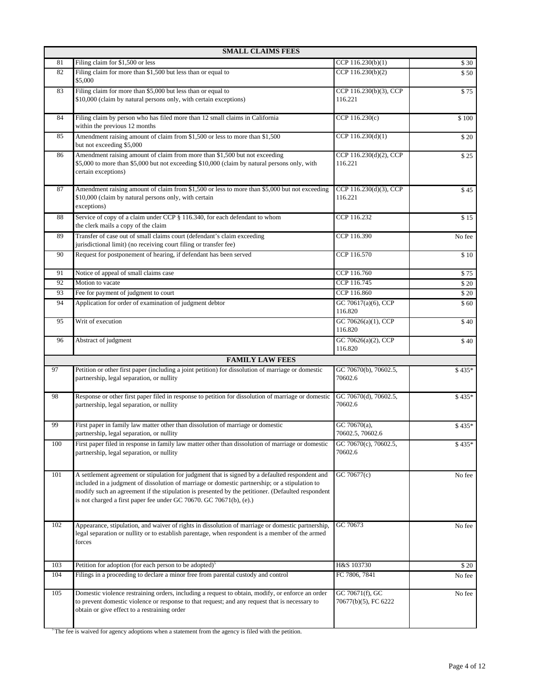|     | <b>SMALL CLAIMS FEES</b>                                                                                                                                                                                                                                                                                                                                                      |                                         |         |
|-----|-------------------------------------------------------------------------------------------------------------------------------------------------------------------------------------------------------------------------------------------------------------------------------------------------------------------------------------------------------------------------------|-----------------------------------------|---------|
| 81  | Filing claim for \$1,500 or less                                                                                                                                                                                                                                                                                                                                              | CCP $116.230(b)(1)$                     | \$30    |
| 82  | Filing claim for more than \$1,500 but less than or equal to<br>\$5,000                                                                                                                                                                                                                                                                                                       | CCP 116.230(b)(2)                       | \$50    |
| 83  | Filing claim for more than \$5,000 but less than or equal to<br>\$10,000 (claim by natural persons only, with certain exceptions)                                                                                                                                                                                                                                             | CCP 116.230(b)(3), CCP<br>116.221       | \$75    |
| 84  | Filing claim by person who has filed more than 12 small claims in California<br>within the previous 12 months                                                                                                                                                                                                                                                                 | CCP 116.230(c)                          | \$100   |
| 85  | Amendment raising amount of claim from \$1,500 or less to more than \$1,500<br>but not exceeding \$5,000                                                                                                                                                                                                                                                                      | CCP 116.230(d)(1)                       | \$20    |
| 86  | Amendment raising amount of claim from more than \$1,500 but not exceeding<br>\$5,000 to more than \$5,000 but not exceeding \$10,000 (claim by natural persons only, with<br>certain exceptions)                                                                                                                                                                             | CCP 116.230(d)(2), CCP<br>116.221       | \$25    |
| 87  | Amendment raising amount of claim from \$1,500 or less to more than \$5,000 but not exceeding<br>\$10,000 (claim by natural persons only, with certain<br>exceptions)                                                                                                                                                                                                         | CCP 116.230(d)(3), CCP<br>116.221       | \$45    |
| 88  | Service of copy of a claim under CCP § 116.340, for each defendant to whom<br>the clerk mails a copy of the claim                                                                                                                                                                                                                                                             | CCP 116.232                             | \$15    |
| 89  | Transfer of case out of small claims court (defendant's claim exceeding<br>jurisdictional limit) (no receiving court filing or transfer fee)                                                                                                                                                                                                                                  | CCP 116.390                             | No fee  |
| 90  | Request for postponement of hearing, if defendant has been served                                                                                                                                                                                                                                                                                                             | CCP 116.570                             | \$10    |
| 91  | Notice of appeal of small claims case                                                                                                                                                                                                                                                                                                                                         | CCP 116.760                             | \$75    |
| 92  | Motion to vacate                                                                                                                                                                                                                                                                                                                                                              | CCP 116.745                             | \$20    |
| 93  | Fee for payment of judgment to court                                                                                                                                                                                                                                                                                                                                          | CCP 116.860                             | \$20    |
| 94  | Application for order of examination of judgment debtor                                                                                                                                                                                                                                                                                                                       | GC 70617(a)(6), CCP<br>116.820          | \$60    |
| 95  | Writ of execution                                                                                                                                                                                                                                                                                                                                                             | GC 70626(a)(1), CCP<br>116.820          | \$40    |
| 96  | Abstract of judgment                                                                                                                                                                                                                                                                                                                                                          | GC 70626(a)(2), CCP<br>116.820          | \$40    |
|     | <b>FAMILY LAW FEES</b>                                                                                                                                                                                                                                                                                                                                                        |                                         |         |
| 97  | Petition or other first paper (including a joint petition) for dissolution of marriage or domestic<br>partnership, legal separation, or nullity                                                                                                                                                                                                                               | GC 70670(b), 70602.5,<br>70602.6        | $$435*$ |
| 98  | Response or other first paper filed in response to petition for dissolution of marriage or domestic<br>partnership, legal separation, or nullity                                                                                                                                                                                                                              | GC 70670(d), 70602.5,<br>70602.6        | $$435*$ |
| 99  | First paper in family law matter other than dissolution of marriage or domestic<br>partnership, legal separation, or nullity                                                                                                                                                                                                                                                  | GC 70670 $(a)$ ,<br>70602.5, 70602.6    | $$435*$ |
| 100 | First paper filed in response in family law matter other than dissolution of marriage or domestic<br>partnership, legal separation, or nullity                                                                                                                                                                                                                                | GC 70670(c), 70602.5,<br>70602.6        | \$435*  |
| 101 | A settlement agreement or stipulation for judgment that is signed by a defaulted respondent and<br>included in a judgment of dissolution of marriage or domestic partnership; or a stipulation to<br>modify such an agreement if the stipulation is presented by the petitioner. (Defaulted respondent<br>is not charged a first paper fee under GC 70670. GC 70671(b), (e).) | GC 70677(c)                             | No fee  |
| 102 | Appearance, stipulation, and waiver of rights in dissolution of marriage or domestic partnership,<br>legal separation or nullity or to establish parentage, when respondent is a member of the armed<br>forces                                                                                                                                                                | GC 70673                                | No fee  |
| 103 | Petition for adoption (for each person to be adopted) <sup>5</sup>                                                                                                                                                                                                                                                                                                            | H&S 103730                              | \$20    |
| 104 | Filings in a proceeding to declare a minor free from parental custody and control                                                                                                                                                                                                                                                                                             | FC 7806, 7841                           | No fee  |
| 105 | Domestic violence restraining orders, including a request to obtain, modify, or enforce an order<br>to prevent domestic violence or response to that request; and any request that is necessary to<br>obtain or give effect to a restraining order                                                                                                                            | GC 70671(f), GC<br>70677(b)(5), FC 6222 | No fee  |

<sup>5</sup>The fee is waived for agency adoptions when a statement from the agency is filed with the petition.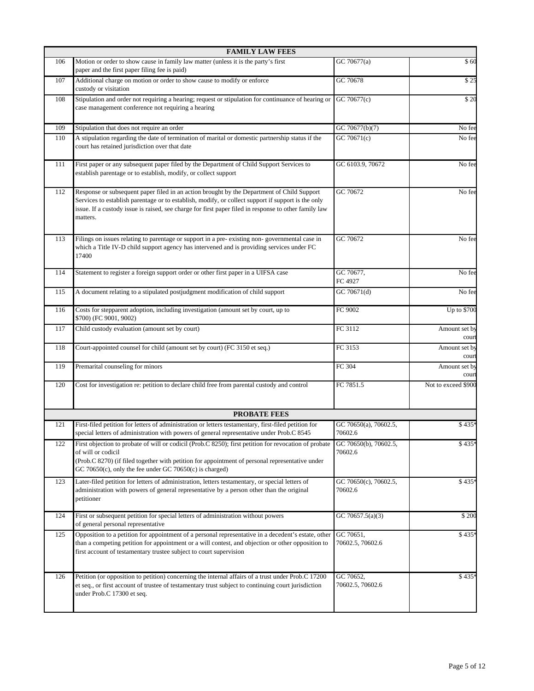|     | <b>FAMILY LAW FEES</b>                                                                                                                                                                                                                                                                                                |                                  |                        |
|-----|-----------------------------------------------------------------------------------------------------------------------------------------------------------------------------------------------------------------------------------------------------------------------------------------------------------------------|----------------------------------|------------------------|
| 106 | Motion or order to show cause in family law matter (unless it is the party's first<br>paper and the first paper filing fee is paid)                                                                                                                                                                                   | GC 70677(a)                      | \$60                   |
| 107 | Additional charge on motion or order to show cause to modify or enforce<br>custody or visitation                                                                                                                                                                                                                      | GC 70678                         | \$25                   |
| 108 | Stipulation and order not requiring a hearing; request or stipulation for continuance of hearing or<br>case management conference not requiring a hearing                                                                                                                                                             | GC 70677(c)                      | \$20                   |
| 109 | Stipulation that does not require an order                                                                                                                                                                                                                                                                            | GC 70677(b)(7)                   | No fee                 |
| 110 | A stipulation regarding the date of termination of marital or domestic partnership status if the<br>court has retained jurisdiction over that date                                                                                                                                                                    | GC 70671(c)                      | No fee                 |
| 111 | First paper or any subsequent paper filed by the Department of Child Support Services to<br>establish parentage or to establish, modify, or collect support                                                                                                                                                           | GC 6103.9, 70672                 | No fee                 |
| 112 | Response or subsequent paper filed in an action brought by the Department of Child Support<br>Services to establish parentage or to establish, modify, or collect support if support is the only<br>issue. If a custody issue is raised, see charge for first paper filed in response to other family law<br>matters. | GC 70672                         | No fee                 |
| 113 | Filings on issues relating to parentage or support in a pre-existing non-governmental case in<br>which a Title IV-D child support agency has intervened and is providing services under FC<br>17400                                                                                                                   | GC 70672                         | No fee                 |
| 114 | Statement to register a foreign support order or other first paper in a UIFSA case                                                                                                                                                                                                                                    | GC 70677,<br>FC 4927             | No fee                 |
| 115 | A document relating to a stipulated postjudgment modification of child support                                                                                                                                                                                                                                        | GC 70671(d)                      | No fee                 |
| 116 | Costs for stepparent adoption, including investigation (amount set by court, up to<br>\$700) (FC 9001, 9002)                                                                                                                                                                                                          | FC 9002                          | Up to \$700            |
| 117 | Child custody evaluation (amount set by court)                                                                                                                                                                                                                                                                        | FC 3112                          | Amount set by<br>cour  |
| 118 | Court-appointed counsel for child (amount set by court) (FC 3150 et seq.)                                                                                                                                                                                                                                             | FC 3153                          | Amount set by<br>court |
| 119 | Premarital counseling for minors                                                                                                                                                                                                                                                                                      | FC 304                           | Amount set by<br>court |
| 120 | Cost for investigation re: petition to declare child free from parental custody and control                                                                                                                                                                                                                           | FC 7851.5                        | Not to exceed \$900    |
|     | <b>PROBATE FEES</b>                                                                                                                                                                                                                                                                                                   |                                  |                        |
| 121 | First-filed petition for letters of administration or letters testamentary, first-filed petition for<br>special letters of administration with powers of general representative under Prob.C 8545                                                                                                                     | GC 70650(a), 70602.5,<br>70602.6 | \$435*                 |
| 122 | First objection to probate of will or codicil (Prob.C 8250); first petition for revocation of probate<br>of will or codicil<br>(Prob.C 8270) (if filed together with petition for appointment of personal representative under<br>GC 70650(c), only the fee under GC 70650(c) is charged)                             | GC 70650(b), 70602.5,<br>70602.6 | \$435*                 |
| 123 | Later-filed petition for letters of administration, letters testamentary, or special letters of<br>administration with powers of general representative by a person other than the original<br>petitioner                                                                                                             | GC 70650(c), 70602.5,<br>70602.6 | \$435*                 |
| 124 | First or subsequent petition for special letters of administration without powers<br>of general personal representative                                                                                                                                                                                               | GC 70657.5(a)(3)                 | \$200                  |
| 125 | Opposition to a petition for appointment of a personal representative in a decedent's estate, other<br>than a competing petition for appointment or a will contest, and objection or other opposition to<br>first account of testamentary trustee subject to court supervision                                        | GC 70651,<br>70602.5, 70602.6    | \$435*                 |
| 126 | Petition (or opposition to petition) concerning the internal affairs of a trust under Prob.C 17200<br>et seq., or first account of trustee of testamentary trust subject to continuing court jurisdiction<br>under Prob.C 17300 et seq.                                                                               | GC 70652,<br>70602.5, 70602.6    | \$435                  |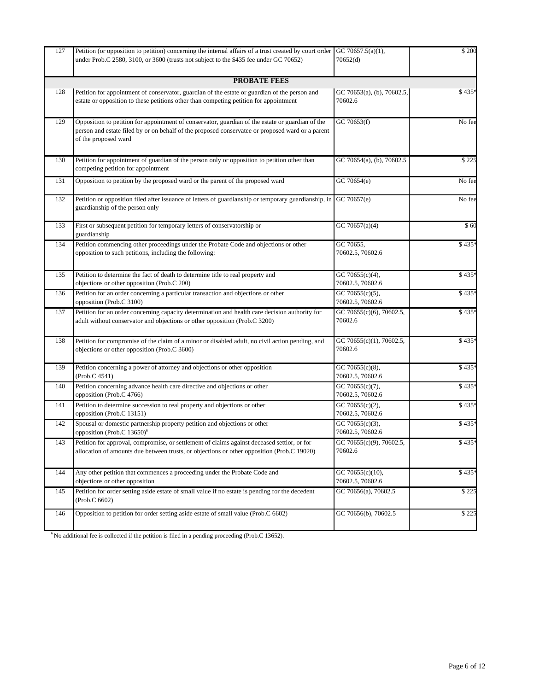| 127 | Petition (or opposition to petition) concerning the internal affairs of a trust created by court order<br>under Prob.C 2580, 3100, or 3600 (trusts not subject to the \$435 fee under GC 70652)                              | GC 70657.5(a)(1),<br>70652(d)         | $\overline{\$}$ 200 |
|-----|------------------------------------------------------------------------------------------------------------------------------------------------------------------------------------------------------------------------------|---------------------------------------|---------------------|
|     | <b>PROBATE FEES</b>                                                                                                                                                                                                          |                                       |                     |
| 128 | Petition for appointment of conservator, guardian of the estate or guardian of the person and<br>estate or opposition to these petitions other than competing petition for appointment                                       | GC 70653(a), (b), 70602.5,<br>70602.6 | \$435*              |
| 129 | Opposition to petition for appointment of conservator, guardian of the estate or guardian of the<br>person and estate filed by or on behalf of the proposed conservatee or proposed ward or a parent<br>of the proposed ward | GC 70653(f)                           | No fee              |
| 130 | Petition for appointment of guardian of the person only or opposition to petition other than<br>competing petition for appointment                                                                                           | GC 70654(a), (b), 70602.5             | \$225               |
| 131 | Opposition to petition by the proposed ward or the parent of the proposed ward                                                                                                                                               | GC 70654(e)                           | No fee              |
| 132 | Petition or opposition filed after issuance of letters of guardianship or temporary guardianship, in<br>guardianship of the person only                                                                                      | GC 70657(e)                           | No fee              |
| 133 | First or subsequent petition for temporary letters of conservatorship or<br>guardianship                                                                                                                                     | GC 70657(a)(4)                        | \$60                |
| 134 | Petition commencing other proceedings under the Probate Code and objections or other<br>opposition to such petitions, including the following:                                                                               | GC 70655,<br>70602.5, 70602.6         | \$435*              |
| 135 | Petition to determine the fact of death to determine title to real property and<br>objections or other opposition (Prob.C 200)                                                                                               | GC 70655(c)(4),<br>70602.5, 70602.6   | \$435*              |
| 136 | Petition for an order concerning a particular transaction and objections or other<br>opposition (Prob.C 3100)                                                                                                                | GC 70655(c)(5),<br>70602.5, 70602.6   | \$435*              |
| 137 | Petition for an order concerning capacity determination and health care decision authority for<br>adult without conservator and objections or other opposition (Prob.C 3200)                                                 | GC 70655(c)(6), 70602.5,<br>70602.6   | \$435*              |
| 138 | Petition for compromise of the claim of a minor or disabled adult, no civil action pending, and<br>objections or other opposition (Prob.C 3600)                                                                              | GC 70655(c)(1), 70602.5,<br>70602.6   | \$435*              |
| 139 | Petition concerning a power of attorney and objections or other opposition<br>(Prob.C 4541)                                                                                                                                  | GC 70655(c)(8),<br>70602.5, 70602.6   | \$435*              |
| 140 | Petition concerning advance health care directive and objections or other<br>opposition (Prob.C 4766)                                                                                                                        | GC 70655(c)(7),<br>70602.5, 70602.6   | \$435*              |
| 141 | Petition to determine succession to real property and objections or other<br>opposition (Prob.C 13151)                                                                                                                       | GC 70655(c)(2),<br>70602.5, 70602.6   | \$435*              |
| 142 | Spousal or domestic partnership property petition and objections or other<br>opposition (Prob.C 13650) <sup>6</sup>                                                                                                          | GC 70655(c)(3),<br>70602.5, 70602.6   | \$435*              |
| 143 | Petition for approval, compromise, or settlement of claims against deceased settlor, or for<br>allocation of amounts due between trusts, or objections or other opposition (Prob.C 19020)                                    | GC 70655(c)(9), 70602.5,<br>70602.6   | \$435*              |
| 144 | Any other petition that commences a proceeding under the Probate Code and<br>objections or other opposition                                                                                                                  | GC 70655(c)(10),<br>70602.5, 70602.6  | \$435*              |
| 145 | Petition for order setting aside estate of small value if no estate is pending for the decedent<br>(Prob.C 6602)                                                                                                             | GC 70656(a), 70602.5                  | \$225               |
| 146 | Opposition to petition for order setting aside estate of small value (Prob.C 6602)                                                                                                                                           | GC 70656(b), 70602.5                  | \$225               |
|     |                                                                                                                                                                                                                              |                                       |                     |

 $6$  No additional fee is collected if the petition is filed in a pending proceeding (Prob.C 13652).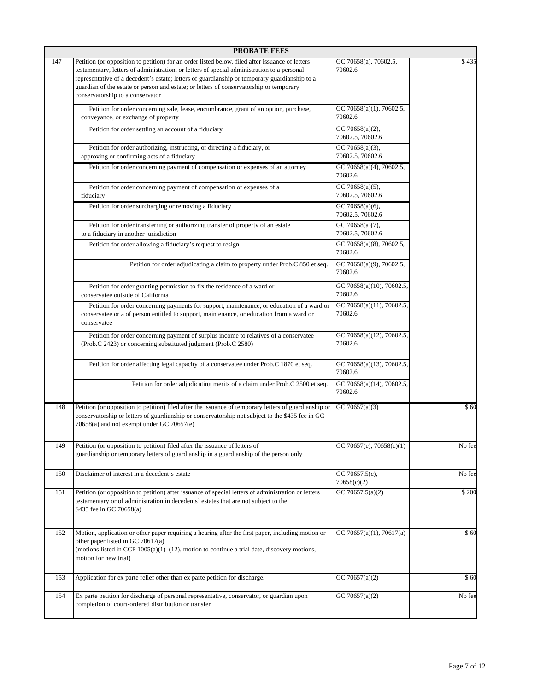|     | <b>PROBATE FEES</b>                                                                                                                                                                                                                                                                                                                                                                                                            |                                                  |        |
|-----|--------------------------------------------------------------------------------------------------------------------------------------------------------------------------------------------------------------------------------------------------------------------------------------------------------------------------------------------------------------------------------------------------------------------------------|--------------------------------------------------|--------|
| 147 | Petition (or opposition to petition) for an order listed below, filed after issuance of letters<br>testamentary, letters of administration, or letters of special administration to a personal<br>representative of a decedent's estate; letters of guardianship or temporary guardianship to a<br>guardian of the estate or person and estate; or letters of conservatorship or temporary<br>conservatorship to a conservator | GC 70658(a), 70602.5,<br>70602.6                 | \$435  |
|     | Petition for order concerning sale, lease, encumbrance, grant of an option, purchase,<br>conveyance, or exchange of property                                                                                                                                                                                                                                                                                                   | GC 70658(a)(1), 70602.5,<br>70602.6              |        |
|     | Petition for order settling an account of a fiduciary                                                                                                                                                                                                                                                                                                                                                                          | GC 70658(a)(2),<br>70602.5, 70602.6              |        |
|     | Petition for order authorizing, instructing, or directing a fiduciary, or<br>approving or confirming acts of a fiduciary                                                                                                                                                                                                                                                                                                       | GC 70658(a)(3),<br>70602.5, 70602.6              |        |
|     | Petition for order concerning payment of compensation or expenses of an attorney                                                                                                                                                                                                                                                                                                                                               | GC 70658(a)(4), 70602.5,<br>70602.6              |        |
|     | Petition for order concerning payment of compensation or expenses of a<br>fiduciary                                                                                                                                                                                                                                                                                                                                            | GC 70658(a)(5),<br>70602.5, 70602.6              |        |
|     | Petition for order surcharging or removing a fiduciary                                                                                                                                                                                                                                                                                                                                                                         | GC 70658(a)(6),<br>70602.5, 70602.6              |        |
|     | Petition for order transferring or authorizing transfer of property of an estate<br>to a fiduciary in another jurisdiction                                                                                                                                                                                                                                                                                                     | $\overline{GC}$ 70658(a)(7),<br>70602.5, 70602.6 |        |
|     | Petition for order allowing a fiduciary's request to resign                                                                                                                                                                                                                                                                                                                                                                    | GC 70658(a)(8), 70602.5,<br>70602.6              |        |
|     | Petition for order adjudicating a claim to property under Prob.C 850 et seq.                                                                                                                                                                                                                                                                                                                                                   | GC 70658(a)(9), 70602.5,<br>70602.6              |        |
|     | Petition for order granting permission to fix the residence of a ward or<br>conservatee outside of California                                                                                                                                                                                                                                                                                                                  | GC 70658(a)(10), 70602.5,<br>70602.6             |        |
|     | Petition for order concerning payments for support, maintenance, or education of a ward or<br>conservatee or a of person entitled to support, maintenance, or education from a ward or<br>conservatee                                                                                                                                                                                                                          | GC 70658(a)(11), 70602.5,<br>70602.6             |        |
|     | Petition for order concerning payment of surplus income to relatives of a conservatee<br>(Prob.C 2423) or concerning substituted judgment (Prob.C 2580)                                                                                                                                                                                                                                                                        | GC 70658(a)(12), 70602.5,<br>70602.6             |        |
|     | Petition for order affecting legal capacity of a conservatee under Prob.C 1870 et seq.                                                                                                                                                                                                                                                                                                                                         | GC 70658(a)(13), 70602.5,<br>70602.6             |        |
|     | Petition for order adjudicating merits of a claim under Prob.C 2500 et seq.                                                                                                                                                                                                                                                                                                                                                    | GC 70658(a)(14), 70602.5,<br>70602.6             |        |
| 148 | Petition (or opposition to petition) filed after the issuance of temporary letters of guardianship or<br>conservatorship or letters of guardianship or conservatorship not subject to the \$435 fee in GC<br>70658(a) and not exempt under GC 70657(e)                                                                                                                                                                         | GC 70657(a)(3)                                   | \$60   |
| 149 | Petition (or opposition to petition) filed after the issuance of letters of<br>guardianship or temporary letters of guardianship in a guardianship of the person only                                                                                                                                                                                                                                                          | GC 70657(e), 70658(c)(1)                         | No fee |
| 150 | Disclaimer of interest in a decedent's estate                                                                                                                                                                                                                                                                                                                                                                                  | GC 70657.5(c),<br>70658(c)(2)                    | No fee |
| 151 | Petition (or opposition to petition) after issuance of special letters of administration or letters<br>testamentary or of administration in decedents' estates that are not subject to the<br>\$435 fee in GC 70658(a)                                                                                                                                                                                                         | GC 70657.5(a)(2)                                 | \$200  |
| 152 | Motion, application or other paper requiring a hearing after the first paper, including motion or<br>other paper listed in GC 70617(a)<br>(motions listed in CCP $1005(a)(1)$ – $(12)$ , motion to continue a trial date, discovery motions,<br>motion for new trial)                                                                                                                                                          | GC 70657(a)(1), 70617(a)                         | \$60   |
| 153 | Application for ex parte relief other than ex parte petition for discharge.                                                                                                                                                                                                                                                                                                                                                    | GC 70657(a)(2)                                   | \$60   |
| 154 | Ex parte petition for discharge of personal representative, conservator, or guardian upon<br>completion of court-ordered distribution or transfer                                                                                                                                                                                                                                                                              | GC 70657(a)(2)                                   | No fee |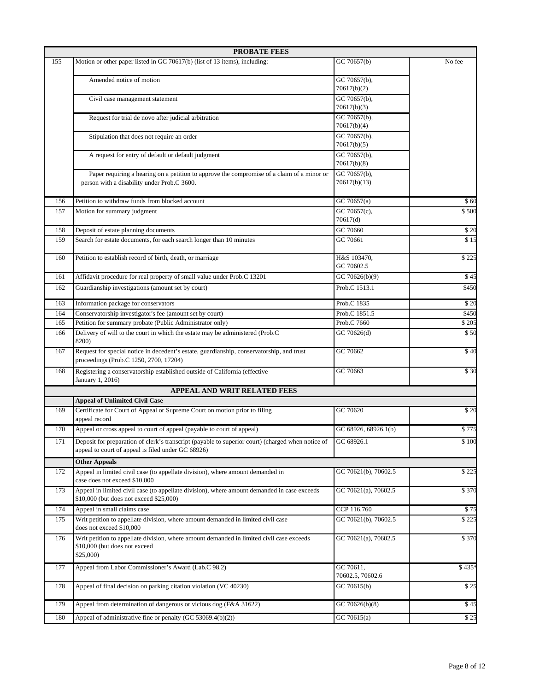|     | <b>PROBATE FEES</b>                                                                                                                                     |                                           |              |  |
|-----|---------------------------------------------------------------------------------------------------------------------------------------------------------|-------------------------------------------|--------------|--|
| 155 | Motion or other paper listed in GC 70617(b) (list of 13 items), including:                                                                              | GC 70657(b)                               | No fee       |  |
|     | Amended notice of motion                                                                                                                                | $\overline{GC 70657}$ (b),<br>70617(b)(2) |              |  |
|     | Civil case management statement                                                                                                                         | GC 70657(b),<br>70617(b)(3)               |              |  |
|     | Request for trial de novo after judicial arbitration                                                                                                    | GC 70657(b),<br>70617(b)(4)               |              |  |
|     | Stipulation that does not require an order                                                                                                              | GC 70657(b),<br>70617(b)(5)               |              |  |
|     | A request for entry of default or default judgment                                                                                                      | GC 70657(b),<br>70617(b)(8)               |              |  |
|     | Paper requiring a hearing on a petition to approve the compromise of a claim of a minor or<br>person with a disability under Prob.C 3600.               | GC 70657(b),<br>70617(b)(13)              |              |  |
| 156 | Petition to withdraw funds from blocked account                                                                                                         | $\overline{GC 70}657(a)$                  | \$60         |  |
| 157 | GC 70657(c),<br>Motion for summary judgment<br>70617(d)                                                                                                 |                                           | \$500        |  |
| 158 | Deposit of estate planning documents                                                                                                                    | GC 70660                                  | $\sqrt{$}20$ |  |
| 159 | Search for estate documents, for each search longer than 10 minutes                                                                                     | GC 70661                                  | $\sqrt{$15}$ |  |
| 160 | Petition to establish record of birth, death, or marriage                                                                                               | H&S 103470,<br>GC 70602.5                 | \$225        |  |
| 161 | Affidavit procedure for real property of small value under Prob.C 13201                                                                                 | GC 70626(b)(9)                            | \$45         |  |
| 162 | Guardianship investigations (amount set by court)<br>Prob.C 1513.1                                                                                      |                                           | \$450        |  |
| 163 | Information package for conservators                                                                                                                    | Prob.C 1835                               | $\sqrt{20}$  |  |
| 164 | Conservatorship investigator's fee (amount set by court)                                                                                                | Prob.C 1851.5                             | \$450        |  |
|     | Petition for summary probate (Public Administrator only)<br>Prob.C 7660<br>165                                                                          |                                           | \$205        |  |
| 166 | Delivery of will to the court in which the estate may be administered (Prob.C<br>8200)                                                                  | GC 70626(d)                               | \$50         |  |
| 167 | Request for special notice in decedent's estate, guardianship, conservatorship, and trust<br>proceedings (Prob.C 1250, 2700, 17204)                     | GC 70662                                  | \$40         |  |
| 168 | Registering a conservatorship established outside of California (effective<br>January 1, 2016)                                                          | GC 70663                                  | \$30         |  |
|     | APPEAL AND WRIT RELATED FEES                                                                                                                            |                                           |              |  |
|     | <b>Appeal of Unlimited Civil Case</b>                                                                                                                   |                                           |              |  |
| 169 | Certificate for Court of Appeal or Supreme Court on motion prior to filing<br>appeal record                                                             | GC 70620                                  | \$20         |  |
| 170 | Appeal or cross appeal to court of appeal (payable to court of appeal)                                                                                  | GC 68926, 68926.1(b)                      | \$775        |  |
| 171 | Deposit for preparation of clerk's transcript (payable to superior court) (charged when notice of<br>appeal to court of appeal is filed under GC 68926) | GC 68926.1                                | \$100        |  |
|     | <b>Other Appeals</b>                                                                                                                                    |                                           |              |  |
| 172 | Appeal in limited civil case (to appellate division), where amount demanded in<br>case does not exceed \$10,000                                         | GC 70621(b), 70602.5                      | \$225        |  |
| 173 | Appeal in limited civil case (to appellate division), where amount demanded in case exceeds<br>\$10,000 (but does not exceed \$25,000)                  | GC 70621(a), 70602.5                      | \$370        |  |
| 174 | Appeal in small claims case                                                                                                                             | CCP 116.760                               | \$75         |  |
| 175 | Writ petition to appellate division, where amount demanded in limited civil case<br>does not exceed \$10,000                                            | GC 70621(b), 70602.5                      | \$225        |  |
| 176 | Writ petition to appellate division, where amount demanded in limited civil case exceeds<br>\$10,000 (but does not exceed<br>\$25,000                   | GC 70621(a), 70602.5                      | \$370        |  |
| 177 | Appeal from Labor Commissioner's Award (Lab.C 98.2)                                                                                                     | GC 70611,<br>70602.5, 70602.6             | \$435*       |  |
| 178 | Appeal of final decision on parking citation violation (VC 40230)                                                                                       | GC 70615(b)                               | \$25         |  |
| 179 | Appeal from determination of dangerous or vicious dog (F&A 31622)                                                                                       | GC 70626(b)(8)                            | \$45         |  |
| 180 | Appeal of administrative fine or penalty (GC 53069.4(b)(2))                                                                                             | GC 70615(a)                               | \$25         |  |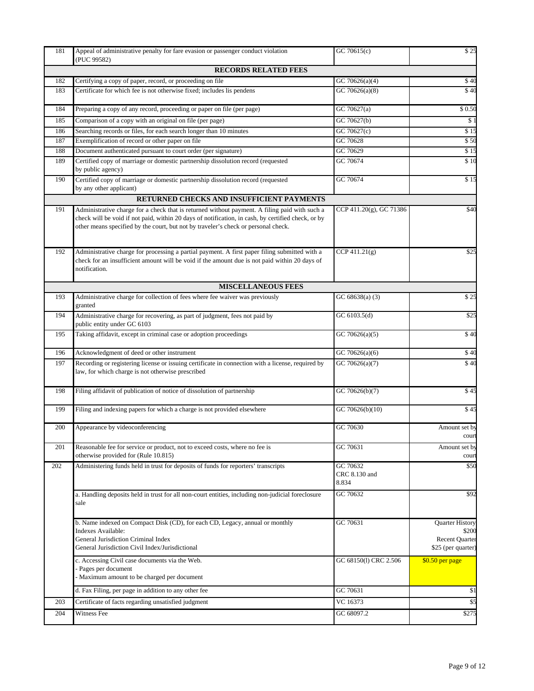| 181 | Appeal of administrative penalty for fare evasion or passenger conduct violation<br>(PUC 99582)                                                                                                                                                                                           | GC $70615(c)$                      | \$25                                        |
|-----|-------------------------------------------------------------------------------------------------------------------------------------------------------------------------------------------------------------------------------------------------------------------------------------------|------------------------------------|---------------------------------------------|
|     | <b>RECORDS RELATED FEES</b>                                                                                                                                                                                                                                                               |                                    |                                             |
| 182 | Certifying a copy of paper, record, or proceeding on file                                                                                                                                                                                                                                 | GC 70626(a)(4)                     | \$40                                        |
| 183 | Certificate for which fee is not otherwise fixed; includes lis pendens                                                                                                                                                                                                                    | GC 70626(a)(8)                     | $\sqrt{40}$                                 |
| 184 | Preparing a copy of any record, proceeding or paper on file (per page)                                                                                                                                                                                                                    | GC 70627(a)                        | \$0.50                                      |
| 185 | Comparison of a copy with an original on file (per page)                                                                                                                                                                                                                                  | GC 70627(b)                        | \$1                                         |
| 186 | Searching records or files, for each search longer than 10 minutes                                                                                                                                                                                                                        | GC 70627(c)                        | \$15                                        |
| 187 | Exemplification of record or other paper on file                                                                                                                                                                                                                                          | GC 70628                           | \$50                                        |
| 188 | Document authenticated pursuant to court order (per signature)                                                                                                                                                                                                                            | GC 70629                           | \$15                                        |
| 189 | Certified copy of marriage or domestic partnership dissolution record (requested<br>by public agency)                                                                                                                                                                                     | GC 70674                           | \$10                                        |
| 190 | Certified copy of marriage or domestic partnership dissolution record (requested<br>by any other applicant)                                                                                                                                                                               | GC 70674                           | \$15                                        |
|     | RETURNED CHECKS AND INSUFFICIENT PAYMENTS                                                                                                                                                                                                                                                 |                                    |                                             |
| 191 | Administrative charge for a check that is returned without payment. A filing paid with such a<br>check will be void if not paid, within 20 days of notification, in cash, by certified check, or by<br>other means specified by the court, but not by traveler's check or personal check. | CCP 411.20(g), GC 71386            | \$40                                        |
| 192 | Administrative charge for processing a partial payment. A first paper filing submitted with a<br>check for an insufficient amount will be void if the amount due is not paid within 20 days of<br>notification.                                                                           | CCP 411.21(g)                      | \$25                                        |
|     | <b>MISCELLANEOUS FEES</b>                                                                                                                                                                                                                                                                 |                                    |                                             |
| 193 | Administrative charge for collection of fees where fee waiver was previously<br>granted                                                                                                                                                                                                   | GC $68638(a)$ (3)                  | \$25                                        |
| 194 | Administrative charge for recovering, as part of judgment, fees not paid by<br>public entity under GC 6103                                                                                                                                                                                | GC 6103.5(d)                       | \$25                                        |
| 195 | Taking affidavit, except in criminal case or adoption proceedings                                                                                                                                                                                                                         | GC 70626(a)(5)                     | \$40                                        |
| 196 | Acknowledgment of deed or other instrument                                                                                                                                                                                                                                                | GC 70626(a)(6)                     | \$40                                        |
| 197 | Recording or registering license or issuing certificate in connection with a license, required by<br>law, for which charge is not otherwise prescribed                                                                                                                                    | GC 70626(a)(7)                     | $\sqrt{$40}$                                |
| 198 | Filing affidavit of publication of notice of dissolution of partnership                                                                                                                                                                                                                   | GC 70626(b)(7)                     | \$45                                        |
| 199 | Filing and indexing papers for which a charge is not provided elsewhere                                                                                                                                                                                                                   | GC 70626(b)(10)                    | \$45                                        |
| 200 | Appearance by videoconferencing                                                                                                                                                                                                                                                           | GC 70630                           | Amount set by<br>cour                       |
| 201 | Reasonable fee for service or product, not to exceed costs, where no fee is<br>otherwise provided for (Rule 10.815)                                                                                                                                                                       | GC 70631                           | Amount set by<br>cour                       |
| 202 | Administering funds held in trust for deposits of funds for reporters' transcripts                                                                                                                                                                                                        | GC 70632<br>CRC 8.130 and<br>8.834 | \$50                                        |
|     | a. Handling deposits held in trust for all non-court entities, including non-judicial foreclosure<br>sale                                                                                                                                                                                 | GC 70632                           | \$92                                        |
|     | b. Name indexed on Compact Disk (CD), for each CD, Legacy, annual or monthly                                                                                                                                                                                                              | GC 70631                           | <b>Quarter History</b>                      |
|     | Indexes Available:                                                                                                                                                                                                                                                                        |                                    | \$200                                       |
|     | General Jurisdiction Criminal Index<br>General Jurisdiction Civil Index/Jurisdictional                                                                                                                                                                                                    |                                    | <b>Recent Quarter</b><br>\$25 (per quarter) |
|     |                                                                                                                                                                                                                                                                                           | GC 68150(l) CRC 2.506              | \$0.50 per page                             |
|     | c. Accessing Civil case documents via the Web.<br>- Pages per document<br>- Maximum amount to be charged per document                                                                                                                                                                     |                                    |                                             |
|     | d. Fax Filing, per page in addition to any other fee                                                                                                                                                                                                                                      | GC 70631                           | \$1                                         |
| 203 | Certificate of facts regarding unsatisfied judgment                                                                                                                                                                                                                                       | VC 16373                           | \$5                                         |
| 204 | Witness Fee                                                                                                                                                                                                                                                                               | GC 68097.2                         | \$275                                       |
|     |                                                                                                                                                                                                                                                                                           |                                    |                                             |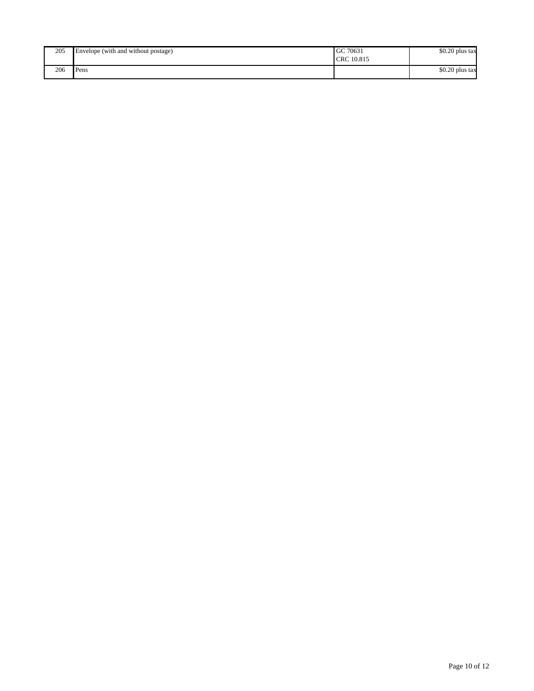| 205 | Envelope (with and without postage) | GC 70631<br>CRC 10.815 | \$0.20 plus tax |
|-----|-------------------------------------|------------------------|-----------------|
| 206 | Pens                                |                        | \$0.20 plus tax |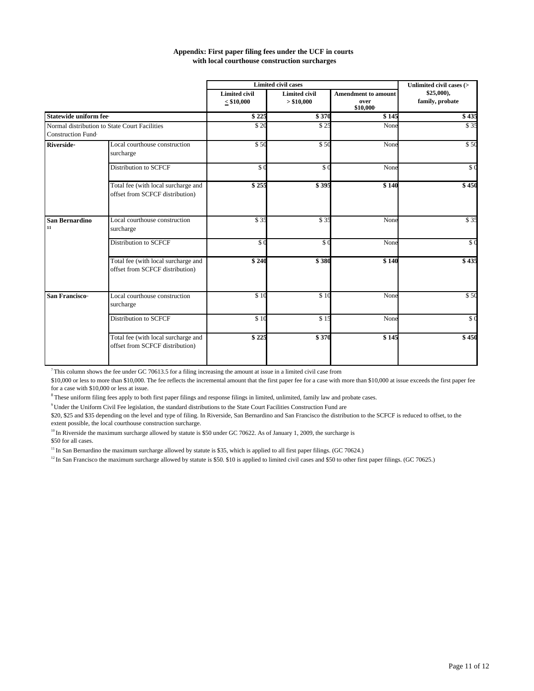| Appendix: First paper filing fees under the UCF in courts |
|-----------------------------------------------------------|
| with local courthouse construction surcharges             |

|                               |                                                                        |                                         | <b>Limited civil cases</b>         |                                                | Unlimited civil cases (>     |  |
|-------------------------------|------------------------------------------------------------------------|-----------------------------------------|------------------------------------|------------------------------------------------|------------------------------|--|
|                               |                                                                        | <b>Limited civil</b><br>$\leq$ \$10,000 | <b>Limited civil</b><br>> \$10,000 | <b>Amendment to amount</b><br>over<br>\$10,000 | \$25,000,<br>family, probate |  |
| <b>Statewide uniform fee</b>  |                                                                        | \$225                                   | \$370                              | \$145                                          | \$435                        |  |
| Construction Fund             | Normal distribution to State Court Facilities                          | $\sqrt{2C}$                             | $\overline{$}$ 25                  | None                                           | \$35                         |  |
| <b>Riverside</b> <sup>®</sup> | Local courthouse construction<br>surcharge                             | \$50                                    | \$50                               | None                                           | \$50                         |  |
|                               | <b>Distribution to SCFCF</b>                                           | \$0                                     | \$0                                | None                                           | $\sqrt{6}$                   |  |
|                               | Total fee (with local surcharge and<br>offset from SCFCF distribution) | \$255                                   | \$395                              | \$140                                          | \$450                        |  |
| <b>San Bernardino</b><br>11   | Local courthouse construction<br>surcharge                             | \$35                                    | \$35                               | None                                           | \$35                         |  |
|                               | <b>Distribution to SCFCF</b>                                           | \$0                                     | $$^{(})$                           | None                                           | $\sqrt{6}$                   |  |
|                               | Total fee (with local surcharge and<br>offset from SCFCF distribution) | \$240                                   | \$380                              | \$140                                          | \$435                        |  |
| San Francisco <sup>n</sup>    | Local courthouse construction<br>surcharge                             | $\sqrt{$10}$                            | \$10                               | None                                           | \$50                         |  |
|                               | Distribution to SCFCF                                                  | \$10                                    | \$15                               | None                                           | \$0                          |  |
|                               | Total fee (with local surcharge and<br>offset from SCFCF distribution) | \$225                                   | \$370                              | \$145                                          | \$450                        |  |

 $7$  This column shows the fee under GC 70613.5 for a filing increasing the amount at issue in a limited civil case from

\$10,000 or less to more than \$10,000. The fee reflects the incremental amount that the first paper fee for a case with more than \$10,000 at issue exceeds the first paper fee for a case with \$10,000 or less at issue.

<sup>8</sup> These uniform filing fees apply to both first paper filings and response filings in limited, unlimited, family law and probate cases.

<sup>9</sup> Under the Uniform Civil Fee legislation, the standard distributions to the State Court Facilities Construction Fund are

\$20, \$25 and \$35 depending on the level and type of filing. In Riverside, San Bernardino and San Francisco the distribution to the SCFCF is reduced to offset, to the extent possible, the local courthouse construction surcharge.

<sup>10</sup> In Riverside the maximum surcharge allowed by statute is \$50 under GC 70622. As of January 1, 2009, the surcharge is \$50 for all cases.

<sup>11</sup> In San Bernardino the maximum surcharge allowed by statute is \$35, which is applied to all first paper filings. (GC 70624.)

<sup>12</sup> In San Francisco the maximum surcharge allowed by statute is \$50. \$10 is applied to limited civil cases and \$50 to other first paper filings. (GC 70625.)